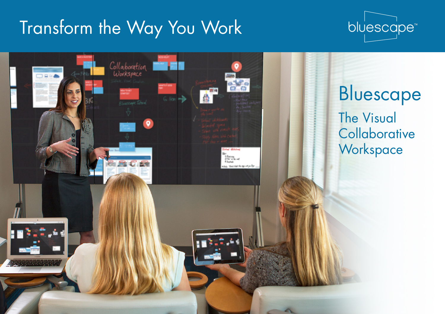# Transform the Way You Work



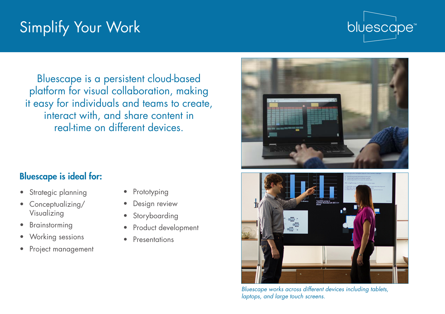## Simplify Your Work



Bluescape is a persistent cloud-based platform for visual collaboration, making it easy for individuals and teams to create, interact with, and share content in real-time on different devices.

### Bluescape is ideal for:

- Strategic planning
- Conceptualizing/ Visualizing
- Brainstorming
- Working sessions
- Project management
- Prototyping
- Design review
- Storyboarding
- Product development
- Presentations





*Bluescape works across different devices including tablets, laptops, and large touch screens.*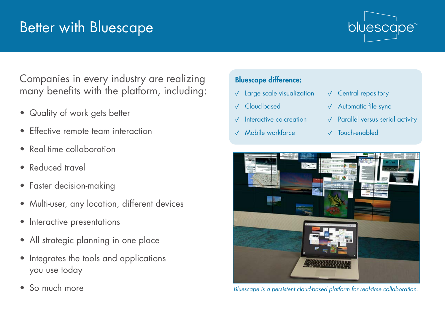### Better with Bluescape



Companies in every industry are realizing many benefits with the platform, including:

- Quality of work gets better
- Effective remote team interaction
- Real-time collaboration
- Reduced travel
- Faster decision-making
- Multi-user, any location, different devices
- Interactive presentations
- All strategic planning in one place
- Integrates the tools and applications you use today
- So much more

### Bluescape difference:

- **✓** Large scale visualization
- **✓** Cloud-based
- **Interactive co-creation**
- **✓** Mobile workforce
- **✓** Central repository
- **✓** Automatic file sync
- **✓** Parallel versus serial activity
- **✓** Touch-enabled



*Bluescape is a persistent cloud-based platform for real-time collaboration.*